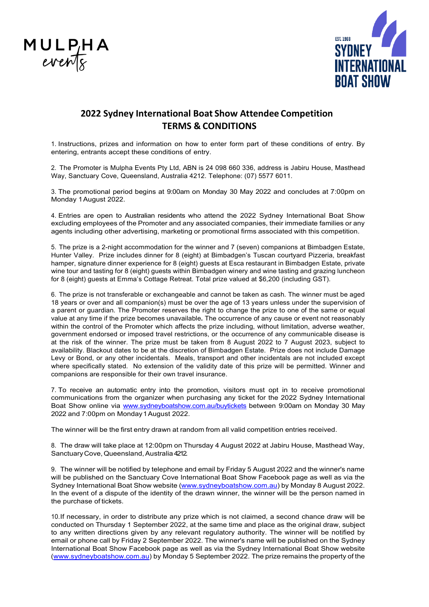



## **2022 Sydney International Boat Show Attendee Competition TERMS & CONDITIONS**

1. Instructions, prizes and information on how to enter form part of these conditions of entry. By entering, entrants accept these conditions of entry.

2. The Promoter is Mulpha Events Pty Ltd, ABN is 24 098 660 336, address is Jabiru House, Masthead Way, Sanctuary Cove, Queensland, Australia 4212. Telephone: (07) 5577 6011.

3. The promotional period begins at 9:00am on Monday 30 May 2022 and concludes at 7:00pm on Monday 1August 2022.

4. Entries are open to Australian residents who attend the 2022 Sydney International Boat Show excluding employees of the Promoter and any associated companies, their immediate families or any agents including other advertising, marketing or promotional firms associated with this competition.

5. The prize is a 2-night accommodation for the winner and 7 (seven) companions at Bimbadgen Estate, Hunter Valley. Prize includes dinner for 8 (eight) at Bimbadgen's Tuscan courtyard Pizzeria, breakfast hamper, signature dinner experience for 8 (eight) guests at Esca restaurant in Bimbadgen Estate, private wine tour and tasting for 8 (eight) guests within Bimbadgen winery and wine tasting and grazing luncheon for 8 (eight) guests at Emma's Cottage Retreat. Total prize valued at \$6,200 (including GST).

6. The prize is not transferable or exchangeable and cannot be taken as cash. The winner must be aged 18 years or over and all companion(s) must be over the age of 13 years unless under the supervision of a parent or guardian. The Promoter reserves the right to change the prize to one of the same or equal value at any time if the prize becomes unavailable**.** The occurrence of any cause or event not reasonably within the control of the Promoter which affects the prize including, without limitation, adverse weather, government endorsed or imposed travel restrictions, or the occurrence of any communicable disease is at the risk of the winner. The prize must be taken from 8 August 2022 to 7 August 2023, subject to availability. Blackout dates to be at the discretion of Bimbadgen Estate. Prize does not include Damage Levy or Bond, or any other incidentals. Meals, transport and other incidentals are not included except where specifically stated. No extension of the validity date of this prize will be permitted. Winner and companions are responsible for their own travel insurance.

7. To receive an automatic entry into the promotion, visitors must opt in to receive promotional communications from the organizer when purchasing any ticket for the 2022 Sydney International Boat Show online via [www.sydneyboatshow.com.au/buytickets](http://www.sydneyboatshow.com.au/buytickets) between 9:00am on Monday 30 May 2022 and 7:00pm on Monday1August 2022.

The winner will be the first entry drawn at random from all valid competition entries received.

8. The draw will take place at 12:00pm on Thursday 4 August 2022 at Jabiru House, Masthead Way, SanctuaryCove,Queensland,Australia 4212.

9. The winner will be notified by telephone and email by Friday 5 August 2022 and the winner's name will be published on the Sanctuary Cove International Boat Show Facebook page as well as via the Sydney International Boat Show website [\(www.sydneyboatshow.com.au\)](http://www.sydneyboatshow.com.au/) by Monday 8 August 2022. In the event of a dispute of the identity of the drawn winner, the winner will be the person named in the purchase of tickets.

10.If necessary, in order to distribute any prize which is not claimed, a second chance draw will be conducted on Thursday 1 September 2022, at the same time and place as the original draw, subject to any written directions given by any relevant regulatory authority. The winner will be notified by email or phone call by Friday 2 September 2022. The winner's name will be published on the Sydney International Boat Show Facebook page as well as via the Sydney International Boat Show website [\(www.sydneyboatshow.com.au\)](http://www.sydneyboatshow.com.au/) by Monday 5 September 2022. The prize remains the property of the